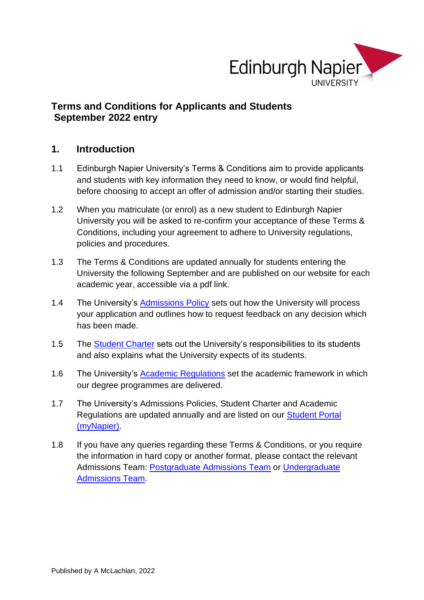

# **Terms and Conditions for Applicants and Students September 2022 entry**

### **1. Introduction**

- 1.1 Edinburgh Napier University's Terms & Conditions aim to provide applicants and students with key information they need to know, or would find helpful, before choosing to accept an offer of admission and/or starting their studies.
- 1.2 When you matriculate (or enrol) as a new student to Edinburgh Napier University you will be asked to re-confirm your acceptance of these Terms & Conditions, including your agreement to adhere to University regulations, policies and procedures.
- 1.3 The Terms & Conditions are updated annually for students entering the University the following September and are published on our website for each academic year, accessible via a pdf link.
- 1.4 The University's [Admissions Policy](http://www.napier.ac.uk/study-with-us/undergraduate/how-to-apply/application-advice-and-support) sets out how the University will process your application and outlines how to request feedback on any decision which has been made.
- 1.5 The [Student Charter](https://my.napier.ac.uk/your-studies/regulations-conduct-and-safety) sets out the University's responsibilities to its students and also explains what the University expects of its students.
- 1.6 The University's [Academic Regulations](https://my.napier.ac.uk/your-studies/regulations-conduct-and-safety) set the academic framework in which our degree programmes are delivered.
- 1.7 The University's Admissions Policies, Student Charter and Academic Regulations are updated annually and are listed on our [Student Portal](http://my.napier.ac.uk/Pages/Home.aspx) (myNapier).
- 1.8 If you have any queries regarding these Terms & Conditions, or you require the information in hard copy or another format, please contact the relevant Admissions Team: [Postgraduate Admissions](mailto:pgadmissions@napier.ac.uk) Team or [Undergraduate](mailto:ugadmissions@napier.ac.uk)  [Admissions](mailto:ugadmissions@napier.ac.uk) Team.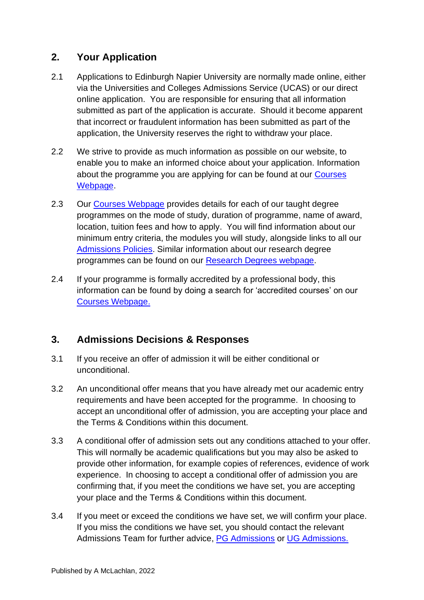# **2. Your Application**

- 2.1 Applications to Edinburgh Napier University are normally made online, either via the Universities and Colleges Admissions Service (UCAS) or our direct online application. You are responsible for ensuring that all information submitted as part of the application is accurate. Should it become apparent that incorrect or fraudulent information has been submitted as part of the application, the University reserves the right to withdraw your place.
- 2.2 We strive to provide as much information as possible on our website, to enable you to make an informed choice about your application. Information about the programme you are applying for can be found at our [Courses](http://www.napier.ac.uk/courses)  [Webpage.](http://www.napier.ac.uk/courses)
- 2.3 Our [Courses Webpage](http://www.napier.ac.uk/courses) provides details for each of our taught degree programmes on the mode of study, duration of programme, name of award, location, tuition fees and how to apply. You will find information about our minimum entry criteria, the modules you will study, alongside links to all our [Admissions Policies.](http://www.napier.ac.uk/en/study-with-us/undergraduate/how-to-apply/application-advice-and-support) Similar information about our research degree programmes can be found on our [Research Degrees webpage.](https://www.napier.ac.uk/research-and-innovation/research-degrees)
- 2.4 If your programme is formally accredited by a professional body, this information can be found by doing a search for 'accredited courses' on our [Courses Webpage.](http://www.napier.ac.uk/courses)

# **3. Admissions Decisions & Responses**

- 3.1 If you receive an offer of admission it will be either conditional or unconditional.
- 3.2 An unconditional offer means that you have already met our academic entry requirements and have been accepted for the programme. In choosing to accept an unconditional offer of admission, you are accepting your place and the Terms & Conditions within this document.
- 3.3 A conditional offer of admission sets out any conditions attached to your offer. This will normally be academic qualifications but you may also be asked to provide other information, for example copies of references, evidence of work experience. In choosing to accept a conditional offer of admission you are confirming that, if you meet the conditions we have set, you are accepting your place and the Terms & Conditions within this document.
- 3.4 If you meet or exceed the conditions we have set, we will confirm your place. If you miss the conditions we have set, you should contact the relevant Admissions Team for further advice, [PG Admissions](mailto:pgadmissions@napier.ac.uk) or [UG Admissions.](mailto:ugadmissions@napier.ac.uk)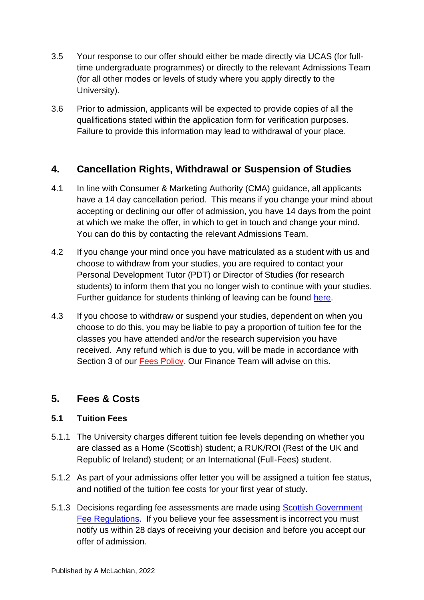- 3.5 Your response to our offer should either be made directly via UCAS (for fulltime undergraduate programmes) or directly to the relevant Admissions Team (for all other modes or levels of study where you apply directly to the University).
- 3.6 Prior to admission, applicants will be expected to provide copies of all the qualifications stated within the application form for verification purposes. Failure to provide this information may lead to withdrawal of your place.

# **4. Cancellation Rights, Withdrawal or Suspension of Studies**

- 4.1 In line with Consumer & Marketing Authority (CMA) guidance, all applicants have a 14 day cancellation period. This means if you change your mind about accepting or declining our offer of admission, you have 14 days from the point at which we make the offer, in which to get in touch and change your mind. You can do this by contacting the relevant Admissions Team.
- 4.2 If you change your mind once you have matriculated as a student with us and choose to withdraw from your studies, you are required to contact your Personal Development Tutor (PDT) or Director of Studies (for research students) to inform them that you no longer wish to continue with your studies. Further guidance for students thinking of leaving can be found [here.](https://my.napier.ac.uk/Academic-Study-Skills/Thinking-of-Leaving/Pages/Thinking-of-Leaving.aspx)
- 4.3 If you choose to withdraw or suspend your studies, dependent on when you choose to do this, you may be liable to pay a proportion of tuition fee for the classes you have attended and/or the research supervision you have received. Any refund which is due to you, will be made in accordance with Section 3 of our [Fees Policy.](https://my.napier.ac.uk/money/student-fees-and-university-debt-policy) Our Finance Team will advise on this.

# **5. Fees & Costs**

#### **5.1 Tuition Fees**

- 5.1.1 The University charges different tuition fee levels depending on whether you are classed as a Home (Scottish) student; a RUK/ROI (Rest of the UK and Republic of Ireland) student; or an International (Full-Fees) student.
- 5.1.2 As part of your admissions offer letter you will be assigned a tuition fee status, and notified of the tuition fee costs for your first year of study.
- 5.1.3 Decisions regarding fee assessments are made using **Scottish Government** [Fee Regulations.](http://www.saas.gov.uk/about_us/legislation.htm) If you believe your fee assessment is incorrect you must notify us within 28 days of receiving your decision and before you accept our offer of admission.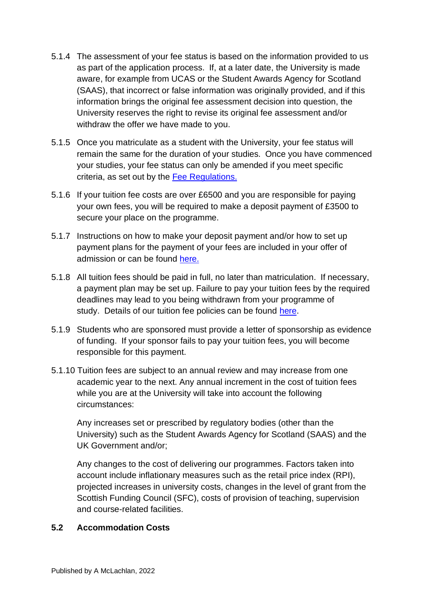- 5.1.4 The assessment of your fee status is based on the information provided to us as part of the application process. If, at a later date, the University is made aware, for example from UCAS or the Student Awards Agency for Scotland (SAAS), that incorrect or false information was originally provided, and if this information brings the original fee assessment decision into question, the University reserves the right to revise its original fee assessment and/or withdraw the offer we have made to you.
- 5.1.5 Once you matriculate as a student with the University, your fee status will remain the same for the duration of your studies. Once you have commenced your studies, your fee status can only be amended if you meet specific criteria, as set out by the Fee [Regulations.](http://www.saas.gov.uk/about_us/legislation.htm)
- 5.1.6 If your tuition fee costs are over £6500 and you are responsible for paying your own fees, you will be required to make a deposit payment of £3500 to secure your place on the programme.
- 5.1.7 Instructions on how to make your deposit payment and/or how to set up payment plans for the payment of your fees are included in your offer of admission or can be found [here.](http://www.napier.ac.uk/study-with-us/undergraduate/fees-and-finance)
- 5.1.8 All tuition fees should be paid in full, no later than matriculation. If necessary, a payment plan may be set up. Failure to pay your tuition fees by the required deadlines may lead to you being withdrawn from your programme of study. Details of our tuition fee policies can be found [here.](https://my.napier.ac.uk/money/student-fees-and-university-debt-policy)
- 5.1.9 Students who are sponsored must provide a letter of sponsorship as evidence of funding. If your sponsor fails to pay your tuition fees, you will become responsible for this payment.
- 5.1.10 Tuition fees are subject to an annual review and may increase from one academic year to the next. Any annual increment in the cost of tuition fees while you are at the University will take into account the following circumstances:

Any increases set or prescribed by regulatory bodies (other than the University) such as the Student Awards Agency for Scotland (SAAS) and the UK Government and/or;

Any changes to the cost of delivering our programmes. Factors taken into account include inflationary measures such as the retail price index (RPI), projected increases in university costs, changes in the level of grant from the Scottish Funding Council (SFC), costs of provision of teaching, supervision and course-related facilities.

#### **5.2 Accommodation Costs**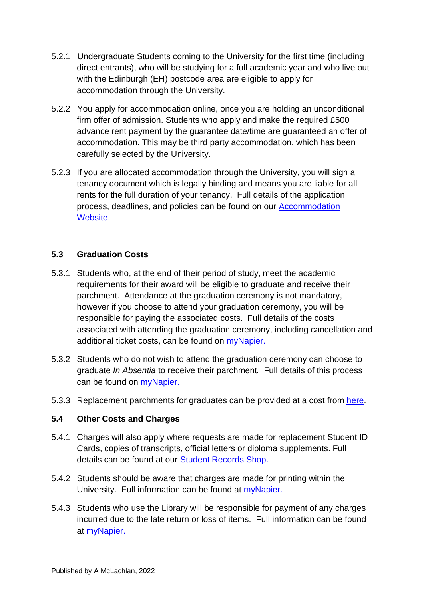- 5.2.1 Undergraduate Students coming to the University for the first time (including direct entrants), who will be studying for a full academic year and who live out with the Edinburgh (EH) postcode area are eligible to apply for accommodation through the University.
- 5.2.2 You apply for accommodation online, once you are holding an unconditional firm offer of admission. Students who apply and make the required £500 advance rent payment by the [guarantee](http://www.napier.ac.uk/study-with-us/undergraduate/accommodation/applying) date/time are guaranteed an offer of accommodation. This may be third party accommodation, which has been carefully selected by the University.
- 5.2.3 If you are allocated accommodation through the University, you will sign a tenancy document which is legally binding and means you are liable for all rents for the full duration of your tenancy. Full details of the application process, deadlines, and policies can be found on our [Accommodation](https://www.napier.ac.uk/study-with-us/accommodation)  [Website.](https://www.napier.ac.uk/study-with-us/accommodation)

#### **5.3 Graduation Costs**

- 5.3.1 Students who, at the end of their period of study, meet the academic requirements for their award will be eligible to graduate and receive their parchment. Attendance at the graduation ceremony is not mandatory, however if you choose to attend your graduation ceremony, you will be responsible for paying the associated costs. Full details of the costs associated with attending the graduation ceremony, including cancellation and additional ticket costs, can be found on [myNapier.](https://my.napier.ac.uk/your-studies/graduations)
- 5.3.2 Students who do not wish to attend the graduation ceremony can choose to graduate *In Absentia* to receive their parchment*.* Full details of this process can be found on [myNapier.](https://my.napier.ac.uk/your-studies/graduations)
- 5.3.3 Replacement parchments for graduates can be provided at a cost from [here.](https://my.napier.ac.uk/Student-Administration/student-records-shop/Pages/Student-Records-Shop.aspx)

#### **5.4 Other Costs and Charges**

- 5.4.1 Charges will also apply where requests are made for replacement Student ID Cards, copies of transcripts, official letters or diploma supplements. Full details can be found at our [Student Records Shop.](http://store.napier.ac.uk/)
- 5.4.2 Students should be aware that charges are made for printing within the University. Full information can be found at [myNapier.](https://my.napier.ac.uk/life-on-campus/printing-scanning-photocopying/general-printing-scanning-and-copying-facilities)
- 5.4.3 Students who use the Library will be responsible for payment of any charges incurred due to the late return or loss of items. Full information can be found at [myNapier.](https://my.napier.ac.uk/library/getting-started)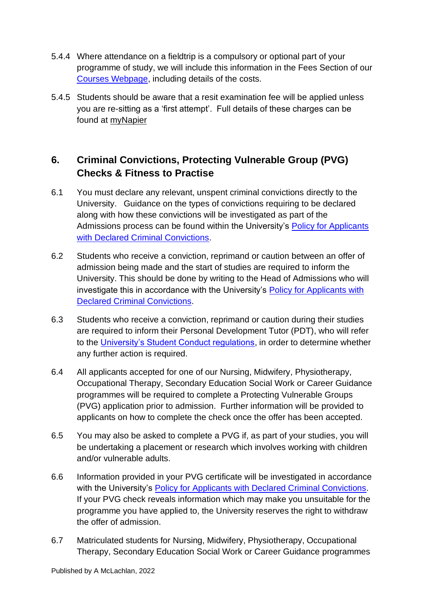- 5.4.4 Where attendance on a fieldtrip is a compulsory or optional part of your programme of study, we will include this information in the Fees Section of our [Courses Webpage,](http://www.napier.ac.uk/courses) including details of the costs.
- 5.4.5 Students should be aware that a resit examination fee will be applied unless you are re-sitting as a 'first attempt'. Full details of these charges can be found at [myNapier](http://my.napier.ac.uk/Student-Administration/Exams/Pages/Resit-Information.aspx)

# **6. Criminal Convictions, Protecting Vulnerable Group (PVG) Checks & Fitness to Practise**

- 6.1 You must declare any relevant, unspent criminal convictions directly to the University. Guidance on the types of convictions requiring to be declared along with how these convictions will be investigated as part of the Admissions process can be found within the University's [Policy for Applicants](http://www.napier.ac.uk/en/study-with-us/undergraduate/how-to-apply/application-advice-and-support)  [with Declared Criminal Convictions.](http://www.napier.ac.uk/en/study-with-us/undergraduate/how-to-apply/application-advice-and-support)
- 6.2 Students who receive a conviction, reprimand or caution between an offer of admission being made and the start of studies are required to inform the University. This should be done by writing to the Head of Admissions who will investigate this in accordance with the University's [Policy for Applicants with](http://www.napier.ac.uk/en/study-with-us/undergraduate/how-to-apply/application-advice-and-support)  [Declared Criminal Convictions.](http://www.napier.ac.uk/en/study-with-us/undergraduate/how-to-apply/application-advice-and-support)
- 6.3 Students who receive a conviction, reprimand or caution during their studies are required to inform their Personal Development Tutor (PDT), who will refer to the [University's Student Conduct regulations,](https://my.napier.ac.uk/your-studies/regulations-conduct-and-safety) in order to determine whether any further action is required.
- 6.4 All applicants accepted for one of our Nursing, Midwifery, Physiotherapy, Occupational Therapy, Secondary Education Social Work or Career Guidance programmes will be required to complete a Protecting Vulnerable Groups (PVG) application prior to admission. Further information will be provided to applicants on how to complete the check once the offer has been accepted.
- 6.5 You may also be asked to complete a PVG if, as part of your studies, you will be undertaking a placement or research which involves working with children and/or vulnerable adults.
- 6.6 Information provided in your PVG certificate will be investigated in accordance with the University's [Policy for Applicants with Declared Criminal Convictions.](http://www.napier.ac.uk/en/study-with-us/undergraduate/how-to-apply/application-advice-and-support) If your PVG check reveals information which may make you unsuitable for the programme you have applied to, the University reserves the right to withdraw the offer of admission.
- 6.7 Matriculated students for Nursing, Midwifery, Physiotherapy, Occupational Therapy, Secondary Education Social Work or Career Guidance programmes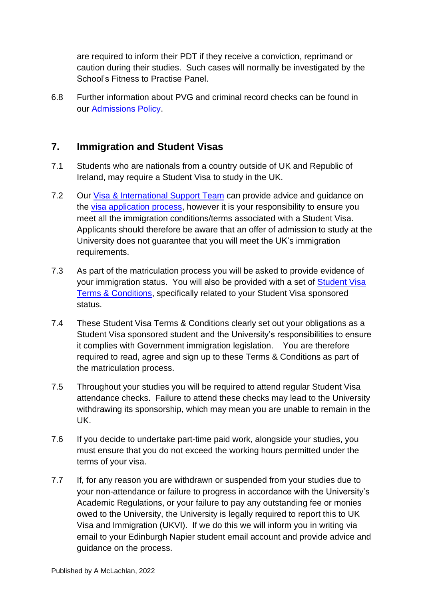are required to inform their PDT if they receive a conviction, reprimand or caution during their studies. Such cases will normally be investigated by the School's Fitness to Practise Panel.

6.8 Further information about PVG and criminal record checks can be found in our [Admissions Policy.](http://www.napier.ac.uk/en/study-with-us/undergraduate/how-to-apply/application-advice-and-support)

# **7. Immigration and Student Visas**

- 7.1 Students who are nationals from a country outside of UK and Republic of Ireland, may require a Student Visa to study in the UK.
- 7.2 Our [Visa & International Support Team](mailto:internationalsupport@napier.ac.uk) can provide advice and quidance on the [visa application process,](http://www.napier.ac.uk/study-with-us/international-students/visas-and-immigration) however it is your responsibility to ensure you meet all the immigration conditions/terms associated with a Student Visa. Applicants should therefore be aware that an offer of admission to study at the University does not guarantee that you will meet the UK's immigration requirements.
- 7.3 As part of the matriculation process you will be asked to provide evidence of your immigration status. You will also be provided with a set of [Student Visa](https://my.napier.ac.uk/international-students/student-route-visas/student-route-visa-responsibilities) Terms & [Conditions,](https://my.napier.ac.uk/international-students/student-route-visas/student-route-visa-responsibilities) specifically related to your Student Visa sponsored status.
- 7.4 These Student Visa Terms & Conditions clearly set out your obligations as a Student Visa sponsored student and the University's responsibilities to ensure it complies with Government immigration legislation. You are therefore required to read, agree and sign up to these Terms & Conditions as part of the matriculation process.
- 7.5 Throughout your studies you will be required to attend regular Student Visa attendance checks. Failure to attend these checks may lead to the University withdrawing its sponsorship, which may mean you are unable to remain in the UK.
- 7.6 If you decide to undertake part-time paid work, alongside your studies, you must ensure that you do not exceed the working hours permitted under the terms of your visa.
- 7.7 If, for any reason you are withdrawn or suspended from your studies due to your non-attendance or failure to progress in accordance with the University's Academic Regulations, or your failure to pay any outstanding fee or monies owed to the University, the University is legally required to report this to UK Visa and Immigration (UKVI). If we do this we will inform you in writing via email to your Edinburgh Napier student email account and provide advice and guidance on the process.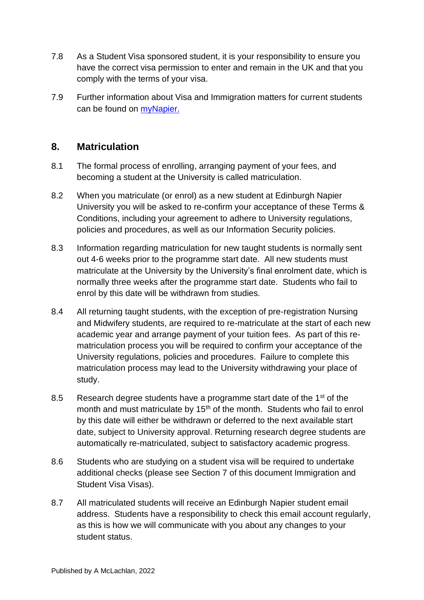- 7.8 As a Student Visa sponsored student, it is your responsibility to ensure you have the correct visa permission to enter and remain in the UK and that you comply with the terms of your visa.
- 7.9 Further information about Visa and Immigration matters for current students can be found on *myNapier*.

## **8. Matriculation**

- 8.1 The formal process of enrolling, arranging payment of your fees, and becoming a student at the University is called matriculation.
- 8.2 When you matriculate (or enrol) as a new student at Edinburgh Napier University you will be asked to re-confirm your acceptance of these Terms & Conditions, including your agreement to adhere to University regulations, policies and procedures, as well as our Information Security policies.
- 8.3 Information regarding matriculation for new taught students is normally sent out 4-6 weeks prior to the programme start date. All new students must matriculate at the University by the University's final enrolment date, which is normally three weeks after the programme start date. Students who fail to enrol by this date will be withdrawn from studies.
- 8.4 All returning taught students, with the exception of pre-registration Nursing and Midwifery students, are required to re-matriculate at the start of each new academic year and arrange payment of your tuition fees. As part of this rematriculation process you will be required to confirm your acceptance of the University regulations, policies and procedures. Failure to complete this matriculation process may lead to the University withdrawing your place of study.
- 8.5 Research degree students have a programme start date of the 1<sup>st</sup> of the month and must matriculate by 15<sup>th</sup> of the month. Students who fail to enrol by this date will either be withdrawn or deferred to the next available start date, subject to University approval. Returning research degree students are automatically re-matriculated, subject to satisfactory academic progress.
- 8.6 Students who are studying on a student visa will be required to undertake additional checks (please see Section 7 of this document Immigration and Student Visa Visas).
- 8.7 All matriculated students will receive an Edinburgh Napier student email address. Students have a responsibility to check this email account regularly, as this is how we will communicate with you about any changes to your student status.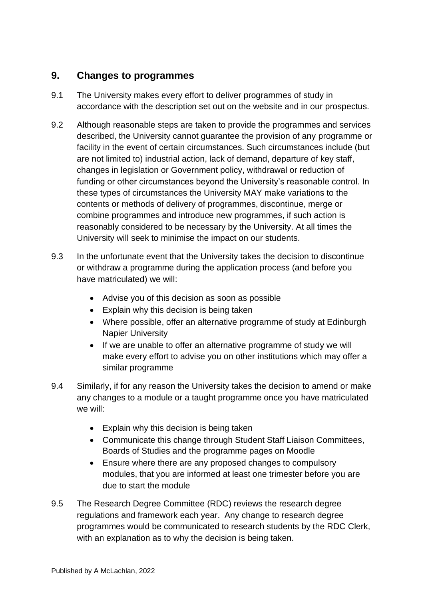## **9. Changes to programmes**

- 9.1 The University makes every effort to deliver programmes of study in accordance with the description set out on the website and in our prospectus.
- 9.2 Although reasonable steps are taken to provide the programmes and services described, the University cannot guarantee the provision of any programme or facility in the event of certain circumstances. Such circumstances include (but are not limited to) industrial action, lack of demand, departure of key staff, changes in legislation or Government policy, withdrawal or reduction of funding or other circumstances beyond the University's reasonable control. In these types of circumstances the University MAY make variations to the contents or methods of delivery of programmes, discontinue, merge or combine programmes and introduce new programmes, if such action is reasonably considered to be necessary by the University. At all times the University will seek to minimise the impact on our students.
- 9.3 In the unfortunate event that the University takes the decision to discontinue or withdraw a programme during the application process (and before you have matriculated) we will:
	- Advise you of this decision as soon as possible
	- Explain why this decision is being taken
	- Where possible, offer an alternative programme of study at Edinburgh Napier University
	- If we are unable to offer an alternative programme of study we will make every effort to advise you on other institutions which may offer a similar programme
- 9.4 Similarly, if for any reason the University takes the decision to amend or make any changes to a module or a taught programme once you have matriculated we will:
	- Explain why this decision is being taken
	- Communicate this change through Student Staff Liaison Committees, Boards of Studies and the programme pages on Moodle
	- Ensure where there are any proposed changes to compulsory modules, that you are informed at least one trimester before you are due to start the module
- 9.5 The Research Degree Committee (RDC) reviews the research degree regulations and framework each year. Any change to research degree programmes would be communicated to research students by the RDC Clerk, with an explanation as to why the decision is being taken.